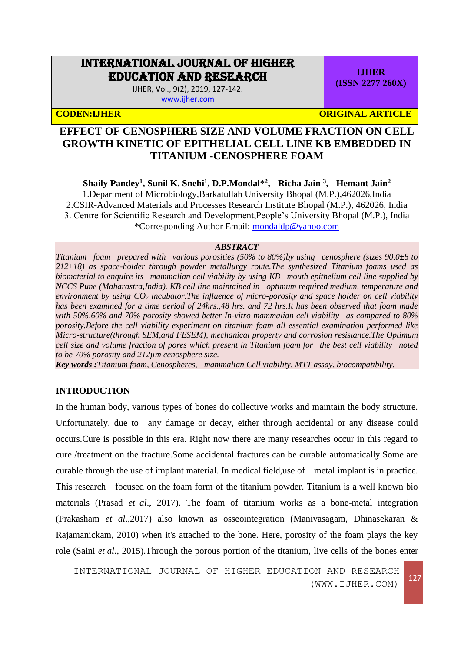# INTERNATIONAL JOURNAL OF HIGHER EDUCATION AND RESEARCH

IJHER, Vol., 9(2), 2019, 127-142. [www.ijher.com](http://www.ijher.com/)

**(ISSN 2277 260X)**

**IJHER**

**CODEN:IJHER ORIGINAL ARTICLE** 

# **EFFECT OF CENOSPHERE SIZE AND VOLUME FRACTION ON CELL GROWTH KINETIC OF EPITHELIAL CELL LINE KB EMBEDDED IN TITANIUM -CENOSPHERE FOAM**

**Shaily Pandey<sup>1</sup> , Sunil K. Snehi<sup>1</sup> , D.P.Mondal\*<sup>2</sup> , Richa Jain <sup>3</sup> , Hemant Jain<sup>2</sup>** 1.Department of Microbiology,Barkatullah University Bhopal (M.P.),462026,India 2.CSIR-Advanced Materials and Processes Research Institute Bhopal (M.P.), 462026, India 3. Centre for Scientific Research and Development,People's University Bhopal (M.P.), India \*Corresponding Author Email: [mondaldp@yahoo.com](mailto:mondaldp@yahoo.com)

#### *ABSTRACT*

*Titanium foam prepared with various porosities (50% to 80%)by using cenosphere (sizes 90.0±8 to 212±18) as space-holder through powder metallurgy route.The synthesized Titanium foams used as biomaterial to enquire its mammalian cell viability by using KB mouth epithelium cell line supplied by NCCS Pune (Maharastra,India). KB cell line maintained in optimum required medium, temperature and environment by using CO<sup>2</sup> incubator.The influence of micro-porosity and space holder on cell viability has been examined for a time period of 24hrs.,48 hrs. and 72 hrs.It has been observed that foam made with 50%,60% and 70% porosity showed better In-vitro mammalian cell viability as compared to 80% porosity.Before the cell viability experiment on titanium foam all essential examination performed like Micro-structure(through SEM,and FESEM), mechanical property and corrosion resistance.The Optimum cell size and volume fraction of pores which present in Titanium foam for the best cell viability noted to be 70% porosity and 212µm cenosphere size.*

*Key words :Titanium foam, Cenospheres, mammalian Cell viability, MTT assay, biocompatibility.*

# **INTRODUCTION**

In the human body, various types of bones do collective works and maintain the body structure. Unfortunately, due to any damage or decay, either through accidental or any disease could occurs.Cure is possible in this era. Right now there are many researches occur in this regard to cure /treatment on the fracture.Some accidental fractures can be curable automatically.Some are curable through the use of implant material. In medical field,use of metal implant is in practice. This research focused on the foam form of the titanium powder. Titanium is a well known bio materials (Prasad *et al*., 2017). The foam of titanium works as a bone-metal integration (Prakasham *et al*.,2017) also known as osseointegration (Manivasagam, Dhinasekaran & Rajamanickam, 2010) when it's attached to the bone. Here, porosity of the foam plays the key role (Saini *et al*., 2015).Through the porous portion of the titanium, live cells of the bones enter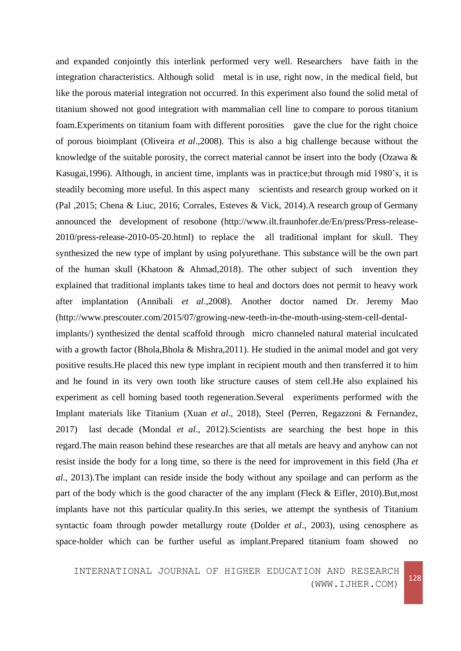and expanded conjointly this interlink performed very well. Researchers have faith in the integration characteristics. Although solid metal is in use, right now, in the medical field, but like the porous material integration not occurred. In this experiment also found the solid metal of titanium showed not good integration with mammalian cell line to compare to porous titanium foam.Experiments on titanium foam with different porosities gave the clue for the right choice of porous bioimplant (Oliveira *et al*.,2008). This is also a big challenge because without the knowledge of the suitable porosity, the correct material cannot be insert into the body (Ozawa & Kasugai,1996). Although, in ancient time, implants was in practice;but through mid 1980's, it is steadily becoming more useful. In this aspect many scientists and research group worked on it (Pal ,2015; Chena & Liuc, 2016; Corrales, Esteves & Vick, 2014).A research group of Germany announced the development of resobone (http://www.ilt.fraunhofer.de/En/press/Press-release-2010/press-release-2010-05-20.html) to replace the all traditional implant for skull. They synthesized the new type of implant by using polyurethane. This substance will be the own part of the human skull (Khatoon & Ahmad,2018). The other subject of such invention they explained that traditional implants takes time to heal and doctors does not permit to heavy work after implantation (Annibali *et al*.,2008). Another doctor named Dr. Jeremy Mao (http://www.prescouter.com/2015/07/growing-new-teeth-in-the-mouth-using-stem-cell-dentalimplants/) synthesized the dental scaffold through micro channeled natural material inculcated

with a growth factor (Bhola,Bhola & Mishra,2011). He studied in the animal model and got very positive results.He placed this new type implant in recipient mouth and then transferred it to him and he found in its very own tooth like structure causes of stem cell.He also explained his experiment as cell homing based tooth regeneration.Several experiments performed with the Implant materials like Titanium (Xuan *et al*., 2018), Steel (Perren, Regazzoni & Fernandez, 2017) last decade (Mondal *et al*., 2012).Scientists are searching the best hope in this regard.The main reason behind these researches are that all metals are heavy and anyhow can not resist inside the body for a long time, so there is the need for improvement in this field (Jha *et al*., 2013).The implant can reside inside the body without any spoilage and can perform as the part of the body which is the good character of the any implant (Fleck & Eifler, 2010).But,most implants have not this particular quality.In this series, we attempt the synthesis of Titanium syntactic foam through powder metallurgy route (Dolder *et al*., 2003), using cenosphere as space-holder which can be further useful as implant.Prepared titanium foam showed no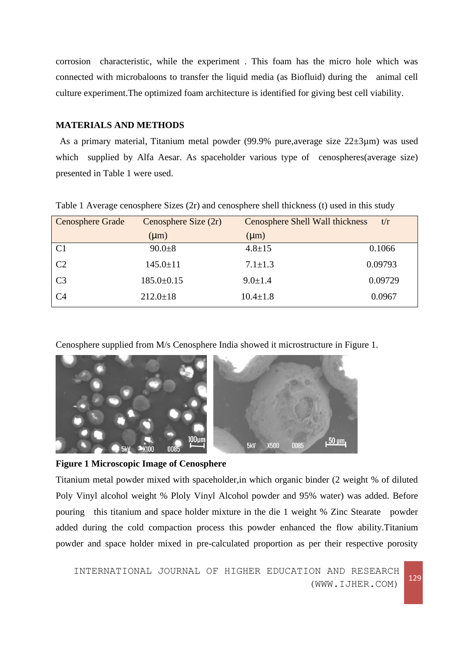corrosion characteristic, while the experiment . This foam has the micro hole which was connected with microbaloons to transfer the liquid media (as Biofluid) during the animal cell culture experiment.The optimized foam architecture is identified for giving best cell viability.

#### **MATERIALS AND METHODS**

As a primary material, Titanium metal powder (99.9% pure,average size 22±3µm) was used which supplied by Alfa Aesar. As spaceholder various type of cenospheres(average size) presented in Table 1 were used.

| Cenosphere Grade | Cenosphere Size $(2r)$ | <b>Cenosphere Shell Wall thickness</b> | t/r     |
|------------------|------------------------|----------------------------------------|---------|
|                  | $(\mu m)$              | $(\mu m)$                              |         |
| C1               | $90.0 + 8$             | $4.8 \pm 15$                           | 0.1066  |
| C <sub>2</sub>   | $145.0 \pm 11$         | $7.1 \pm 1.3$                          | 0.09793 |
| C <sub>3</sub>   | $185.0 \pm 0.15$       | $9.0 \pm 1.4$                          | 0.09729 |
| C <sub>4</sub>   | $212.0 \pm 18$         | $10.4 \pm 1.8$                         | 0.0967  |

Table 1 Average cenosphere Sizes (2r) and cenosphere shell thickness (t) used in this study

Cenosphere supplied from M/s Cenosphere India showed it microstructure in Figure 1.



**Figure 1 Microscopic Image of Cenosphere**

Titanium metal powder mixed with spaceholder,in which organic binder (2 weight % of diluted Poly Vinyl alcohol weight % Ploly Vinyl Alcohol powder and 95% water) was added. Before pouring this titanium and space holder mixture in the die 1 weight % Zinc Stearate powder added during the cold compaction process this powder enhanced the flow ability.Titanium powder and space holder mixed in pre-calculated proportion as per their respective porosity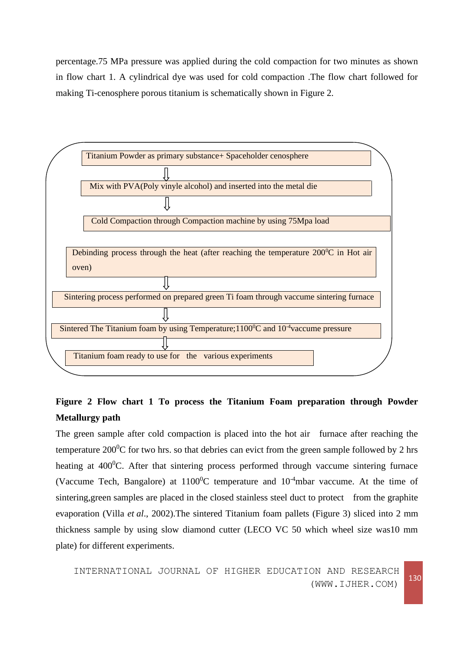percentage.75 MPa pressure was applied during the cold compaction for two minutes as shown in flow chart 1. A cylindrical dye was used for cold compaction .The flow chart followed for making Ti-cenosphere porous titanium is schematically shown in Figure 2.



# **Figure 2 Flow chart 1 To process the Titanium Foam preparation through Powder Metallurgy path**

The green sample after cold compaction is placed into the hot air furnace after reaching the temperature  $200^{\circ}$ C for two hrs. so that debries can evict from the green sample followed by 2 hrs heating at 400<sup>0</sup>C. After that sintering process performed through vaccume sintering furnace (Vaccume Tech, Bangalore) at  $1100^{\circ}$ C temperature and  $10^{-4}$ mbar vaccume. At the time of sintering, green samples are placed in the closed stainless steel duct to protect from the graphite evaporation (Villa *et al*., 2002).The sintered Titanium foam pallets (Figure 3) sliced into 2 mm thickness sample by using slow diamond cutter (LECO VC 50 which wheel size was10 mm plate) for different experiments.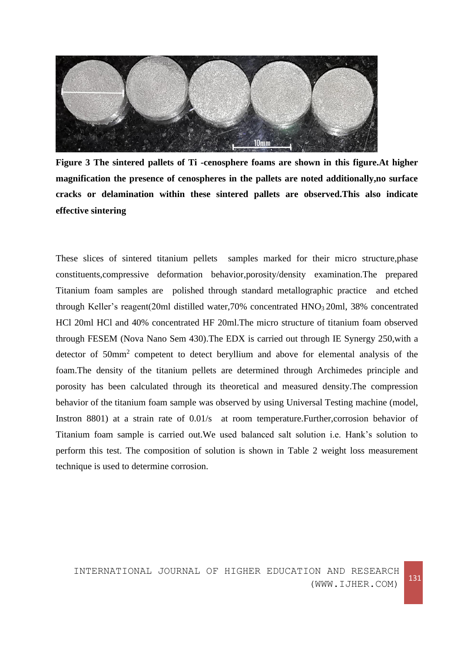

**Figure 3 The sintered pallets of Ti -cenosphere foams are shown in this figure.At higher magnification the presence of cenospheres in the pallets are noted additionally,no surface cracks or delamination within these sintered pallets are observed.This also indicate effective sintering**

These slices of sintered titanium pellets samples marked for their micro structure,phase constituents,compressive deformation behavior,porosity/density examination.The prepared Titanium foam samples are polished through standard metallographic practice and etched through Keller's reagent(20ml distilled water,70% concentrated HNO<sub>3</sub> 20ml, 38% concentrated HCl 20ml HCl and 40% concentrated HF 20ml.The micro structure of titanium foam observed through FESEM (Nova Nano Sem 430).The EDX is carried out through IE Synergy 250,with a detector of 50mm<sup>2</sup> competent to detect beryllium and above for elemental analysis of the foam.The density of the titanium pellets are determined through Archimedes principle and porosity has been calculated through its theoretical and measured density.The compression behavior of the titanium foam sample was observed by using Universal Testing machine (model, Instron 8801) at a strain rate of 0.01/s at room temperature. Further, corrosion behavior of Titanium foam sample is carried out.We used balanced salt solution i.e. Hank's solution to perform this test. The composition of solution is shown in Table 2 weight loss measurement technique is used to determine corrosion.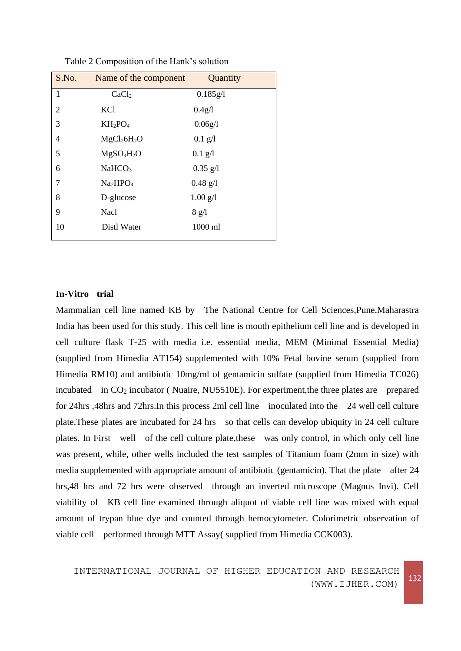| S.No. | Name of the component               | Quantity          |
|-------|-------------------------------------|-------------------|
| 1     | CaCl <sub>2</sub>                   | 0.185g/l          |
| 2     | <b>KCl</b>                          | 0.4g/l            |
| 3     | $KH_2PO_4$                          | 0.06g/l           |
| 4     | MgCl <sub>2</sub> 6H <sub>2</sub> O | $0.1$ g/l         |
| 5     | MgSO <sub>4</sub> H <sub>2</sub> O  | $0.1 \text{ g}/1$ |
| 6     | NaHCO <sub>3</sub>                  | $0.35$ g/l        |
| 7     | Na <sub>2</sub> HPO <sub>4</sub>    | $0.48$ g/l        |
| 8     | D-glucose                           | $1.00$ g/l        |
| 9     | Nacl                                | 8 g/l             |
| 10    | Distl Water                         | 1000 ml           |

Table 2 Composition of the Hank's solution

#### **In-Vitro trial**

Mammalian cell line named KB by The National Centre for Cell Sciences,Pune,Maharastra India has been used for this study. This cell line is mouth epithelium cell line and is developed in cell culture flask T-25 with media i.e. essential media, MEM (Minimal Essential Media) (supplied from Himedia AT154) supplemented with 10% Fetal bovine serum (supplied from Himedia RM10) and antibiotic 10mg/ml of gentamicin sulfate (supplied from Himedia TC026) incubated in  $CO<sub>2</sub>$  incubator (Nuaire, NU5510E). For experiment, the three plates are prepared for 24hrs ,48hrs and 72hrs.In this process 2ml cell line inoculated into the 24 well cell culture plate.These plates are incubated for 24 hrs so that cells can develop ubiquity in 24 cell culture plates. In First well of the cell culture plate,these was only control, in which only cell line was present, while, other wells included the test samples of Titanium foam (2mm in size) with media supplemented with appropriate amount of antibiotic (gentamicin). That the plate after 24 hrs,48 hrs and 72 hrs were observed through an inverted microscope (Magnus Invi). Cell viability of KB cell line examined through aliquot of viable cell line was mixed with equal amount of trypan blue dye and counted through hemocytometer. Colorimetric observation of viable cell performed through MTT Assay( supplied from Himedia CCK003).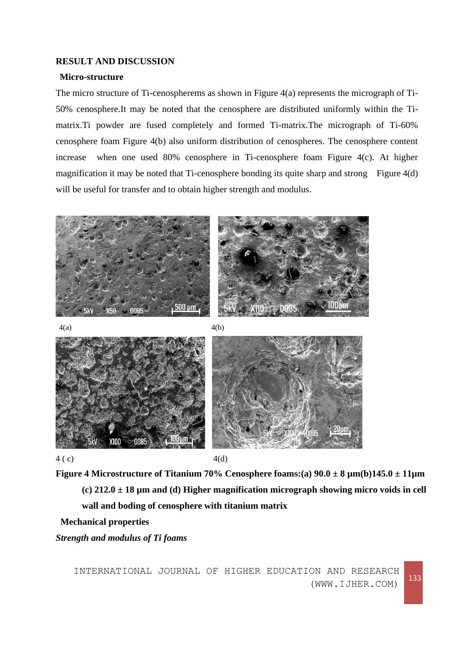#### **RESULT AND DISCUSSION**

#### **Micro-structure**

The micro structure of Ti-cenospherems as shown in Figure 4(a) represents the micrograph of Ti-50% cenosphere.It may be noted that the cenosphere are distributed uniformly within the Timatrix.Ti powder are fused completely and formed Ti-matrix.The micrograph of Ti-60% cenosphere foam Figure 4(b) also uniform distribution of cenospheres. The cenosphere content increase when one used 80% cenosphere in Ti-cenosphere foam Figure 4(c). At higher magnification it may be noted that Ti-cenosphere bonding its quite sharp and strong Figure 4(d) will be useful for transfer and to obtain higher strength and modulus.



**Figure 4 Microstructure of Titanium 70% Cenosphere foams:(a) 90.0 ± 8 µm(b)145.0 ± 11µm (c) 212.0 ± 18 µm and (d) Higher magnification micrograph showing micro voids in cell wall and boding of cenosphere with titanium matrix**

**Mechanical properties**

*Strength and modulus of Ti foams*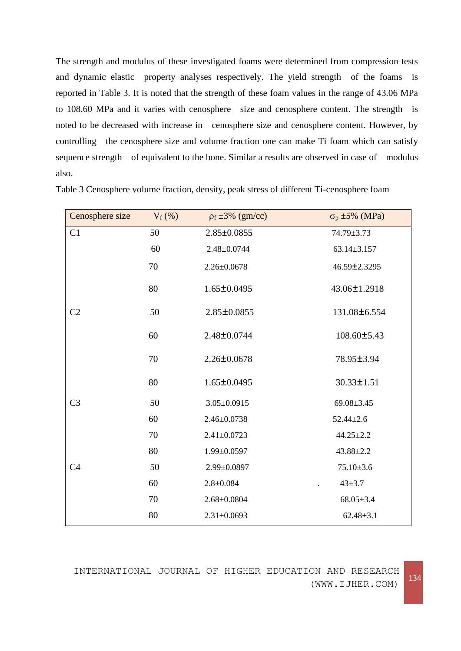The strength and modulus of these investigated foams were determined from compression tests and dynamic elastic property analyses respectively. The yield strength of the foams is reported in Table 3. It is noted that the strength of these foam values in the range of 43.06 MPa to 108.60 MPa and it varies with cenosphere size and cenosphere content. The strength is noted to be decreased with increase in cenosphere size and cenosphere content. However, by controlling the cenosphere size and volume fraction one can make Ti foam which can satisfy sequence strength of equivalent to the bone. Similar a results are observed in case of modulus also.

| Cenosphere size | $V_f$ (%) | $p_f \pm 3\%$ (gm/cc) | $\sigma_p \pm 5\%$ (MPa) |
|-----------------|-----------|-----------------------|--------------------------|
| C1              | 50        | $2.85 \pm 0.0855$     | $74.79 \pm 3.73$         |
|                 | 60        | $2.48 \pm 0.0744$     | $63.14 \pm 3.157$        |
|                 | 70        | $2.26 \pm 0.0678$     | 46.59±2.3295             |
|                 | 80        | $1.65 \pm 0.0495$     | 43.06±1.2918             |
| C <sub>2</sub>  | 50        | $2.85 \pm 0.0855$     | 131.08±6.554             |
|                 | 60        | 2.48±0.0744           | 108.60±5.43              |
|                 | 70        | $2.26 \pm 0.0678$     | 78.95±3.94               |
|                 | 80        | $1.65 \pm 0.0495$     | $30.33 \pm 1.51$         |
| C <sub>3</sub>  | 50        | $3.05 \pm 0.0915$     | $69.08 \pm 3.45$         |
|                 | 60        | $2.46 \pm 0.0738$     | $52.44 \pm 2.6$          |
|                 | 70        | $2.41 \pm 0.0723$     | $44.25 \pm 2.2$          |
|                 | 80        | $1.99 \pm 0.0597$     | $43.88 \pm 2.2$          |
| C <sub>4</sub>  | 50        | 2.99±0.0897           | $75.10{\pm}3.6$          |
|                 | 60        | $2.8 \pm 0.084$       | $43 + 3.7$               |
|                 | 70        | $2.68 \pm 0.0804$     | $68.05 \pm 3.4$          |
|                 | 80        | $2.31 \pm 0.0693$     | $62.48 \pm 3.1$          |

Table 3 Cenosphere volume fraction, density, peak stress of different Ti-cenosphere foam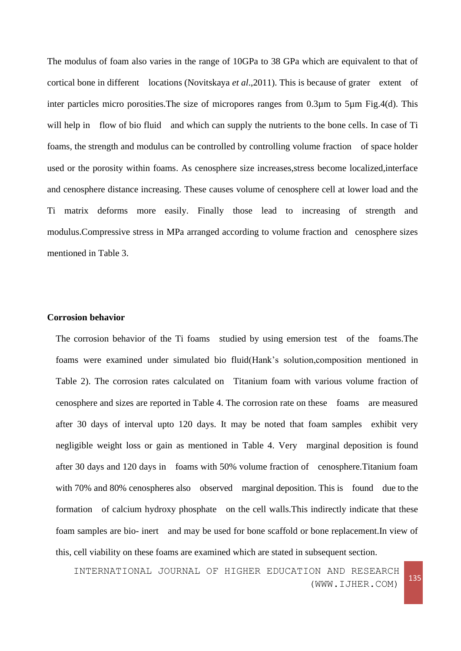The modulus of foam also varies in the range of 10GPa to 38 GPa which are equivalent to that of cortical bone in different locations (Novitskaya *et al*.,2011). This is because of grater extent of inter particles micro porosities.The size of micropores ranges from 0.3µm to 5µm Fig.4(d). This will help in flow of bio fluid and which can supply the nutrients to the bone cells. In case of Ti foams, the strength and modulus can be controlled by controlling volume fraction of space holder used or the porosity within foams. As cenosphere size increases,stress become localized,interface and cenosphere distance increasing. These causes volume of cenosphere cell at lower load and the Ti matrix deforms more easily. Finally those lead to increasing of strength and modulus.Compressive stress in MPa arranged according to volume fraction and cenosphere sizes mentioned in Table 3.

#### **Corrosion behavior**

The corrosion behavior of the Ti foams studied by using emersion test of the foams.The foams were examined under simulated bio fluid(Hank's solution,composition mentioned in Table 2). The corrosion rates calculated on Titanium foam with various volume fraction of cenosphere and sizes are reported in Table 4. The corrosion rate on these foams are measured after 30 days of interval upto 120 days. It may be noted that foam samples exhibit very negligible weight loss or gain as mentioned in Table 4. Very marginal deposition is found after 30 days and 120 days in foams with 50% volume fraction of cenosphere.Titanium foam with 70% and 80% cenospheres also observed marginal deposition. This is found due to the formation of calcium hydroxy phosphate on the cell walls.This indirectly indicate that these foam samples are bio- inert and may be used for bone scaffold or bone replacement.In view of this, cell viability on these foams are examined which are stated in subsequent section.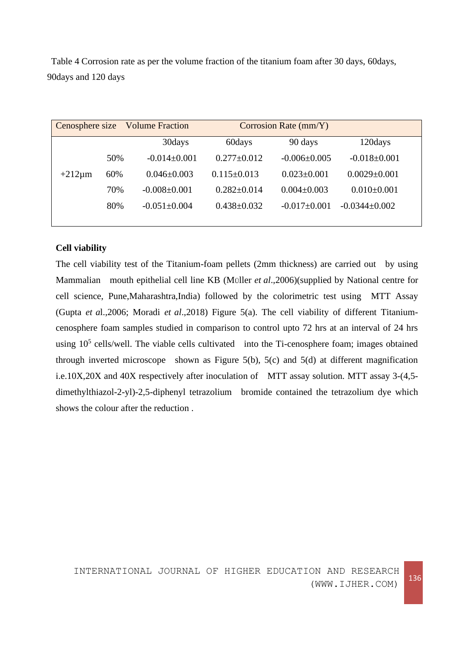Table 4 Corrosion rate as per the volume fraction of the titanium foam after 30 days, 60days, 90days and 120 days

| Cenosphere size Volume Fraction |     |                    | Corrosion Rate (mm/Y) |                   |                     |
|---------------------------------|-----|--------------------|-----------------------|-------------------|---------------------|
|                                 |     | 30days             | 60days                | 90 days           | 120days             |
|                                 | 50% | $-0.014\pm0.001$   | $0.277 \pm 0.012$     | $-0.006\pm0.005$  | $-0.018 \pm 0.001$  |
| $+212 \mu m$                    | 60% | $0.046 \pm 0.003$  | $0.115 \pm 0.013$     | $0.023 \pm 0.001$ | $0.0029 \pm 0.001$  |
|                                 | 70% | $-0.008 \pm 0.001$ | $0.282 \pm 0.014$     | $0.004 \pm 0.003$ | $0.010\pm0.001$     |
|                                 | 80% | $-0.051 \pm 0.004$ | $0.438 \pm 0.032$     | $-0.017\pm0.001$  | $-0.0344 \pm 0.002$ |
|                                 |     |                    |                       |                   |                     |

# **Cell viability**

The cell viability test of the Titanium-foam pellets (2mm thickness) are carried out by using Mammalian mouth epithelial cell line KB (MÜller *et al*.,2006)(supplied by National centre for cell science, Pune,Maharashtra,India) followed by the colorimetric test using MTT Assay (Gupta *et a*l.,2006; Moradi *et al*.,2018) Figure 5(a). The cell viability of different Titaniumcenosphere foam samples studied in comparison to control upto 72 hrs at an interval of 24 hrs using  $10<sup>5</sup>$  cells/well. The viable cells cultivated into the Ti-cenosphere foam; images obtained through inverted microscope shown as Figure 5(b), 5(c) and 5(d) at different magnification i.e.10X,20X and 40X respectively after inoculation of MTT assay solution. MTT assay 3-(4,5 dimethylthiazol-2-yl)-2,5-diphenyl tetrazolium bromide contained the tetrazolium dye which shows the colour after the reduction .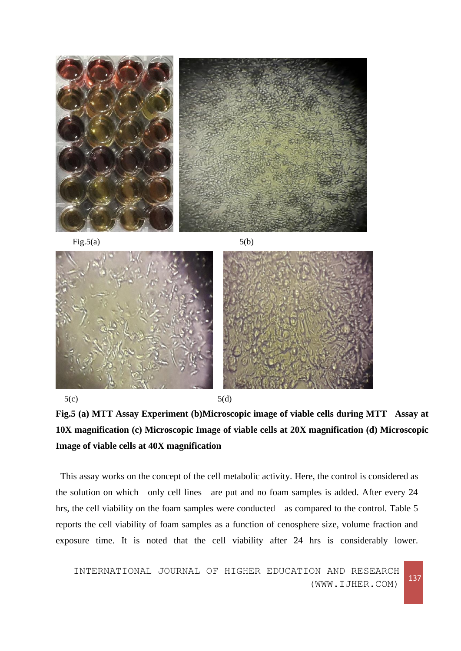

Fig.5(a)  $5(b)$ 







This assay works on the concept of the cell metabolic activity. Here, the control is considered as the solution on which only cell lines are put and no foam samples is added. After every 24 hrs, the cell viability on the foam samples were conducted as compared to the control. Table 5 reports the cell viability of foam samples as a function of cenosphere size, volume fraction and exposure time. It is noted that the cell viability after 24 hrs is considerably lower.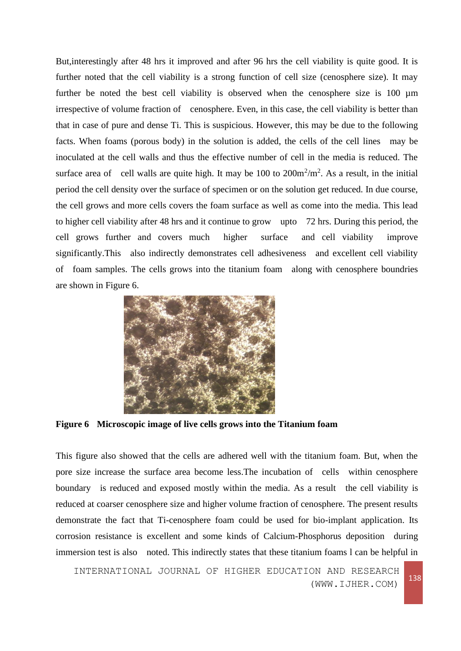But,interestingly after 48 hrs it improved and after 96 hrs the cell viability is quite good. It is further noted that the cell viability is a strong function of cell size (cenosphere size). It may further be noted the best cell viability is observed when the cenosphere size is 100 µm irrespective of volume fraction of cenosphere. Even, in this case, the cell viability is better than that in case of pure and dense Ti. This is suspicious. However, this may be due to the following facts. When foams (porous body) in the solution is added, the cells of the cell lines may be inoculated at the cell walls and thus the effective number of cell in the media is reduced. The surface area of cell walls are quite high. It may be 100 to  $200m^2/m^2$ . As a result, in the initial period the cell density over the surface of specimen or on the solution get reduced. In due course, the cell grows and more cells covers the foam surface as well as come into the media. This lead to higher cell viability after 48 hrs and it continue to grow upto 72 hrs. During this period, the cell grows further and covers much higher surface and cell viability improve significantly. This also indirectly demonstrates cell adhesiveness and excellent cell viability of foam samples. The cells grows into the titanium foam along with cenosphere boundries are shown in Figure 6.



**Figure 6 Microscopic image of live cells grows into the Titanium foam**

This figure also showed that the cells are adhered well with the titanium foam. But, when the pore size increase the surface area become less.The incubation of cells within cenosphere boundary is reduced and exposed mostly within the media. As a result the cell viability is reduced at coarser cenosphere size and higher volume fraction of cenosphere. The present results demonstrate the fact that Ti-cenosphere foam could be used for bio-implant application. Its corrosion resistance is excellent and some kinds of Calcium-Phosphorus deposition during immersion test is also noted. This indirectly states that these titanium foams l can be helpful in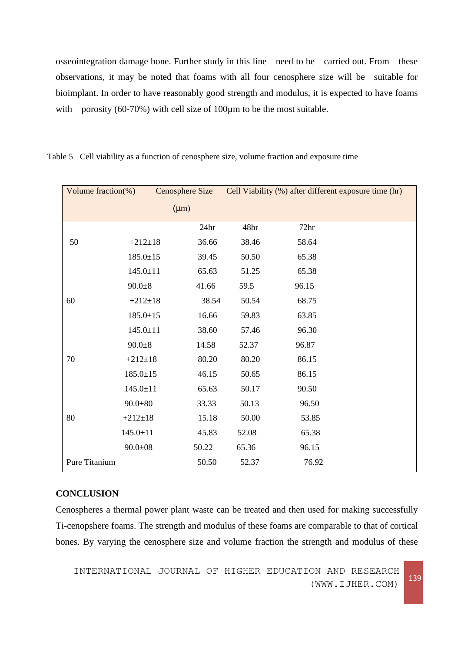osseointegration damage bone. Further study in this line need to be carried out. From these observations, it may be noted that foams with all four cenosphere size will be suitable for bioimplant. In order to have reasonably good strength and modulus, it is expected to have foams with porosity (60-70%) with cell size of 100 $\mu$ m to be the most suitable.

| Volume fraction(%) |                | Cenosphere Size |       | Cell Viability (%) after different exposure time (hr) |
|--------------------|----------------|-----------------|-------|-------------------------------------------------------|
|                    |                | $(\mu m)$       |       |                                                       |
|                    |                | 24hr            | 48hr  | 72hr                                                  |
| 50                 | $+212 \pm 18$  | 36.66           | 38.46 | 58.64                                                 |
|                    | $185.0 \pm 15$ | 39.45           | 50.50 | 65.38                                                 |
|                    | $145.0 \pm 11$ | 65.63           | 51.25 | 65.38                                                 |
|                    | $90.0 + 8$     | 41.66           | 59.5  | 96.15                                                 |
| 60                 | $+212+18$      | 38.54           | 50.54 | 68.75                                                 |
|                    | $185.0 \pm 15$ | 16.66           | 59.83 | 63.85                                                 |
|                    | $145.0 \pm 11$ | 38.60           | 57.46 | 96.30                                                 |
|                    | $90.0 + 8$     | 14.58           | 52.37 | 96.87                                                 |
| 70                 | $+212+18$      | 80.20           | 80.20 | 86.15                                                 |
|                    | $185.0 \pm 15$ | 46.15           | 50.65 | 86.15                                                 |
|                    | $145.0 \pm 11$ | 65.63           | 50.17 | 90.50                                                 |
|                    | $90.0 \pm 80$  | 33.33           | 50.13 | 96.50                                                 |
| 80                 | $+212 \pm 18$  | 15.18           | 50.00 | 53.85                                                 |
|                    | $145.0 \pm 11$ | 45.83           | 52.08 | 65.38                                                 |
|                    | $90.0 \pm 08$  | 50.22           | 65.36 | 96.15                                                 |
| Pure Titanium      |                | 50.50           | 52.37 | 76.92                                                 |

Table 5 Cell viability as a function of cenosphere size, volume fraction and exposure time

#### **CONCLUSION**

Cenospheres a thermal power plant waste can be treated and then used for making successfully Ti-cenopshere foams. The strength and modulus of these foams are comparable to that of cortical bones. By varying the cenosphere size and volume fraction the strength and modulus of these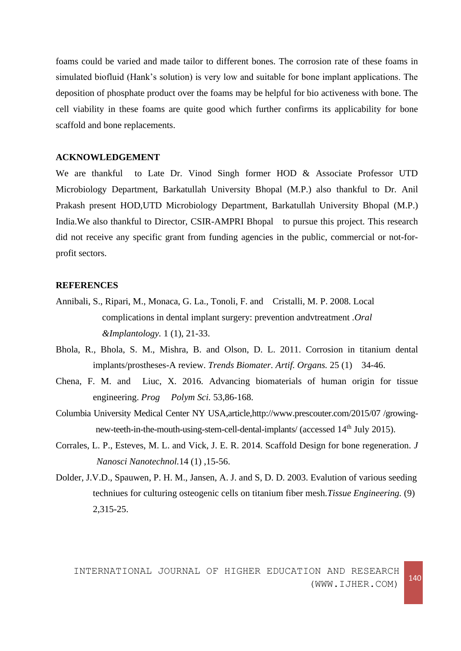foams could be varied and made tailor to different bones. The corrosion rate of these foams in simulated biofluid (Hank's solution) is very low and suitable for bone implant applications. The deposition of phosphate product over the foams may be helpful for bio activeness with bone. The cell viability in these foams are quite good which further confirms its applicability for bone scaffold and bone replacements.

# **ACKNOWLEDGEMENT**

We are thankful to Late Dr. Vinod Singh former HOD & Associate Professor UTD Microbiology Department, Barkatullah University Bhopal (M.P.) also thankful to Dr. Anil Prakash present HOD,UTD Microbiology Department, Barkatullah University Bhopal (M.P.) India.We also thankful to Director, CSIR-AMPRI Bhopal to pursue this project. This research did not receive any specific grant from funding agencies in the public, commercial or not-forprofit sectors.

# **REFERENCES**

- Annibali, S., Ripari, M., Monaca, G. La., Tonoli, F. and Cristalli, M. P. 2008. Local complications in dental implant surgery: prevention andvtreatment .*Oral &Implantology.* 1 (1), 21-33.
- Bhola, R., Bhola, S. M., Mishra, B. and Olson, D. L. 2011. Corrosion in titanium dental implants/prostheses-A review. *Trends Biomater. Artif. Organs.* 25 (1) 34-46.
- Chena, F. M. and Liuc, X. 2016. Advancing biomaterials of human origin for tissue engineering. *Prog Polym Sci.* 53,86-168.
- Columbia University Medical Center NY USA,article,http://www.prescouter.com/2015/07 /growingnew-teeth-in-the-mouth-using-stem-cell-dental-implants/ (accessed 14<sup>th</sup> July 2015).
- Corrales, L. P., Esteves, M. L. and Vick, J. E. R. 2014. Scaffold Design for bone regeneration. *J Nanosci Nanotechnol.*14 (1) ,15-56.
- Dolder, J.V.D., Spauwen, P. H. M., Jansen, A. J. and S, D. D. 2003. Evalution of various seeding techniues for culturing osteogenic cells on titanium fiber mesh.*Tissue Engineering.* (9) 2,315-25.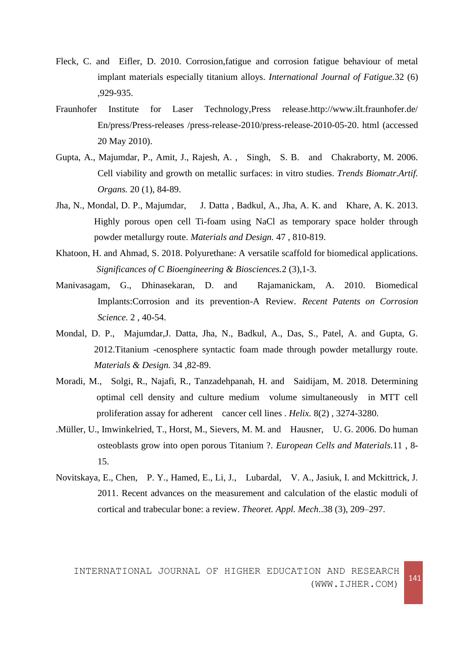- Fleck, C. and Eifler, D. 2010. Corrosion,fatigue and corrosion fatigue behaviour of metal implant materials especially titanium alloys. *International Journal of Fatigue.*32 (6) ,929-935.
- Fraunhofer Institute for Laser Technology,Press release.http://www.ilt.fraunhofer.de/ En/press/Press-releases /press-release-2010/press-release-2010-05-20. html (accessed 20 May 2010).
- Gupta, A., Majumdar, P., Amit, J., Rajesh, A. , Singh, S. B. and Chakraborty, M. 2006. Cell viability and growth on metallic surfaces: in vitro studies. *Trends Biomatr.Artif. Organs.* 20 (1), 84-89.
- [Jha, N.,](https://www.sciencedirect.com/science/article/pii/S0261306913000186#!) Mondal, D. P., Majumdar, J. Datta , Badkul, A., Jha, A. K. and Khare, A. K. 2013. Highly porous open cell Ti-foam using NaCl as temporary space holder through powder metallurgy route. *Materials and Design.* 47 , 810-819.
- Khatoon, H. and Ahmad, S. 2018. Polyurethane: A versatile scaffold for biomedical applications. *Significances of C Bioengineering & Biosciences.*2 (3),1-3.
- Manivasagam, G., Dhinasekaran, D. and Rajamanickam, A. 2010. Biomedical Implants:Corrosion and its prevention-A Review. *Recent Patents on Corrosion Science.* 2 , 40-54.
- [Mondal, D. P., Majumdar,J. Datta,](https://www.sciencedirect.com/science/article/pii/S0261306911005474#!) Jha, N., Badkul, A., Das, S., Patel, A. and Gupta, G. 2012.Titanium -cenosphere syntactic foam made through powder metallurgy route. *[Materials &](https://www.sciencedirect.com/science/journal/02613069) Design.* [34](https://www.sciencedirect.com/science/journal/02613069/34/supp/C) ,82-89.
- Moradi, M., Solgi, R., Najafi, R., Tanzadehpanah, H. and Saidijam, M. 2018. Determining optimal cell density and culture medium volume simultaneously in MTT cell proliferation assay for adherent cancer cell lines . *Helix.* 8(2) , 3274-3280.
- .Müller, U., Imwinkelried, T., Horst, M., Sievers, M. M. and Hausner, U. G. 2006. Do human osteoblasts grow into open porous Titanium ?. *European Cells and Materials.*11 , 8- 15.
- Novitskaya, E., Chen, P. Y., Hamed, E., Li, J., Lubardal, V. A., Jasiuk, I. and Mckittrick, J. 2011. Recent advances on the measurement and calculation of the elastic moduli of cortical and trabecular bone: a review. *Theoret. Appl. Mech*..38 (3), 209–297.